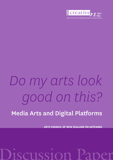

**ARTS COUNCIL OF NEW ZEALAND TO** 

# *Do my arts look good on this?*

# Media Arts and Digital Platforms

ARTS COUNCIL OF NEW ZEALAND TOI AOTEAROA

# Discussion Paper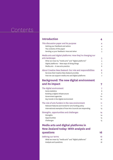# **Contents**

| <b>Introduction</b>                                                                                                                                                                                                      | 4                       |
|--------------------------------------------------------------------------------------------------------------------------------------------------------------------------------------------------------------------------|-------------------------|
| This discussion paper and its purpose<br>Getting your feedback and advice<br>The contents of this paper<br>Sending us your feedback: How and when                                                                        | 4<br>4<br>4<br>5        |
| Media arts and digital platforms: How they're changing our<br>arts landscape<br>What we mean by "media arts" and "digital platforms"<br>Digital platforms - New ways of doing things<br>Media arts - A new arts practice | 5<br>5<br>5<br>6        |
| About Creative New Zealand: Our role and responsibilities<br>Services that Creative New Zealand provides<br>How we can support media arts and digital platforms                                                          | 6<br>6<br>7             |
| <b>Background: The new digital environment</b>                                                                                                                                                                           |                         |
| and its impact                                                                                                                                                                                                           | 7                       |
| The digital environment<br>Some statistics<br>Building a digital infrastructure<br>Government agencies<br>Key trends in the digital environment                                                                          | 7<br>8<br>9<br>10<br>10 |
| The role of arts funders in the new environment<br>Relevant features and trends for arts funding policy<br>International examples of how Arts Councils are responding                                                    | 11<br>11<br>13          |
| Strengths, opportunities and challenges<br>Strengths<br>Opportunities<br>Challenges                                                                                                                                      | 14<br>14<br>15<br>15    |
| <b>Media arts and digital platforms in</b>                                                                                                                                                                               |                         |
| <b>New Zealand today: With analysis and</b>                                                                                                                                                                              |                         |
| questions                                                                                                                                                                                                                | 16                      |

| Defining our terms                                   | 16 |
|------------------------------------------------------|----|
| What we mean by "media arts" and "digital platforms" | 16 |
| Analysis and questions                               | 16 |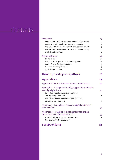# Contents

| Media arts                                                | 17 |
|-----------------------------------------------------------|----|
| Places where media arts are being created and presented   | 17 |
| People involved in media arts (artists and groups)        | 18 |
| Projects that Creative New Zealand has supported recently | 19 |
| Policy - Creative New Zealand's media arts funding policy | 20 |
| Analysis and questions                                    | 22 |
| Digital platforms                                         | 24 |
| Introduction                                              | 24 |
| Ways in which digital platforms are being used            | 24 |
| Recent funding for digital platforms                      | 24 |
| Our current funding guidelines                            | 25 |
| Analysis and questions                                    | 26 |
| How to provide your feedback                              | 28 |
| <b>Appendices</b>                                         | 29 |
| Appendix 1 - Examples of New Zealand media artists        | 29 |
| Appendix 2 - Examples of funding support for media arts   |    |
| and digital platforms                                     | 32 |
| Examples of funding support for media arts,               |    |
| January 2009 - June 2011                                  | 32 |
| Examples of funding support for digital platforms,        |    |
| January 2009 - June 2011                                  | 33 |
| Appendix 3 - Examples of the use of digital platforms in  |    |
| <b>New Zealand</b>                                        | 34 |
|                                                           |    |
| Appendix 4 - Examples of digital platforms bringing       |    |
| international work to New Zealand                         | 35 |
| New York Metropolitan Opera season 2011-12                | 35 |
| UK National Theatre Live season                           | 35 |
| <b>Feedback form</b>                                      | 36 |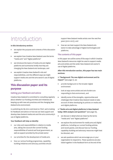# Introduction

#### **In this introductory section:**

- we explain the purpose and contents of this discussion paper
- we explain how Creative New Zealand uses the terms "media arts" and "digital platforms"
- we introduce the topics of media arts and digital platforms and summarise briefly how they are changing the New Zealand arts landscape, and
- we explain Creative New Zealand's role and responsibilities, and the different ways we might support media arts and the arts sector's use of digital platforms.

# **This discussion paper and its purpose**

# Getting your feedback and advice

Creative New Zealand is committed to consulting regularly about whether our funding priorities and initiatives are keeping up with new arts practices and the changing New Zealand arts environment.

In publishing *Do My Arts Look Good on This?,* we're looking for feedback and advice on how we can best support and develop New Zealand media arts and the arts community's use of digital platforms.

#### **Your feedback will help us identify:**

- our roles and responsibilities in relation to media arts, taking into account the current funding responsibilities of central and local government, as well as support provided by the private sector
- our priorities for the development of media arts
- how our various funding programmes, capabilitybuilding initiatives and advocacy activities should

support New Zealand media artists over the next five years (2012–2017), and

• how we can best support the New Zealand arts sector to take advantage of digital technologies and platforms.

## The contents of this paper

In this paper we outline some of the ways in which Creative New Zealand's resources might be used to support media arts and artists and the wider New Zealand arts sector's use of digital platforms.

# **After this Introduction section, this paper has two main sections:**

In **"Background: The new digital environment and its impact"** (see page 7), we

- provide background on the broader digital environment
- look at ways some artists and arts funders are responding to that environment, and
- identify some of the strengths, opportunities and challenges that Creative New Zealand needs to take account of when developing its policies on media arts and digital platforms.

# In **"Media arts and digital platforms in New Zealand today: With analysis and questions"** (see page 16),

- we discuss in detail what we mean by the terms "media arts" and "digital platforms"
- we explore the environment for media arts and digital platforms, including our current funding policies and recent grants, and discuss how our funding, capability-building and advocacy resources might best be directed, and
- we ask questions which we encourage you or your organisation to respond to. These questions are also listed together in the feedback form at the end of the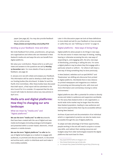paper (see page 36); You may also provide feedback via our online survey:

## **https://www.surveymonkey.com/s/2R9JYCD**

#### Sending us your feedback: How and when

We invite feedback from artists, practitioners, arts groups, arts organisations and others who are interested in New Zealand's media arts and ways the arts can benefit from digital platforms.

We value your contribution. Please write to us with your views and answers to the questions we ask by **Monday 19 December 2011**. For more details of how to provide feedback, see page 28.

In January 2012 we will collate and analyse your feedback. This information will be used to develop a draft report for our funding bodies (the Arts Board, Te Waka Toi and the Pacific Arts Committee). After these bodies have discussed that draft report, a final report will be submitted to the Arts Council for it to consider. It's expected that the Arts Council will make its decisions about any new policies in April 2012.

# **Media arts and digital platforms: How they're changing our arts landscape**

# What we mean by "media arts" and "digital platforms"

**We use the term "media arts" to refer to** artworks that have been created with the use of digital and new media technologies (including analogue technologies) and presented within a screen-based, electronic, virtual network or mobile domain.

**We use the term "digital platforms" to refer to** the use of digital technologies as a medium to engage with audiences, to promote and discuss artwork, to document and archive work, and/or to distribute work and make it more widely available.

Later in this discussion paper we look at these definitions in more detail and ask for your feedback on how accurate or useful they are: see "Defining our terms" on page 16.

#### Digital platforms – New ways of doing things

Digital platforms allow people to do things in new ways. For the arts sector it means new ways of viewing, reading, hearing or otherwise accessing the arts; new ways of responding to, and engaging with, the arts; new ways of distributing, promoting or selling the arts. For some a digital platform may be where they first engage with a particular artwork or artform – for others it will mean a new way of doing something they've done previously.

In New Zealand, websites such as eyeCONTACT' and Theatreview<sup>2</sup> are shifting arts discourse from printed to digital platforms. Worldwide there is less reliance on printed newspapers and magazines as a medium for promoting and discussing the arts, with more and more information and commentary moving to online environments.3

Digital platforms also offer a potential for artists to directly access and relate to audiences and supporters worldwide. For the savvy New Zealand artist or arts organisation, a world-wide niche market may be larger than the entire New Zealand population, leading to new audiences and new income opportunities that may be accessible without leaving New Zealand.

Archives of past work and documentation of an individual artist's or organisation's practice can also be made more accessible through the use of digital platforms.

To adapt and take advantage of all these opportunities, people working in the arts will need to acquire or access new skills, and redirect their existing resources and budgets away from older technologies towards the digital platforms that work best for them.

<sup>1</sup> http://eyeCONTACTartforum.blogspot.com

<sup>2</sup> http://www.theatreview.org.nz/index.php

<sup>3</sup> For example http://www.furtherfield.org and http://rhizome.org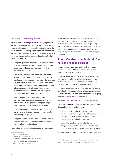# Media arts – A new arts practice

Digital technologies and platforms are changing not just the way that people engage with and respond to the arts. Just as the invention of photography led to changes in the nature and role of painting, digital platforms are affecting the practice and content of the arts - the way artists create and present work, and the subjects they choose for their works – for example:

- Computer games have become sites for the creation of a new genre of artworks, including internationally celebrated works such as those by ex-pat New Zealander Julian Oliver.4
- Networked environments support the creation of artworks that exist in multiple locations or that are distributed virtually through many sites – for example, Douglas Bagnall's early work *The Filmmaking Robot,* which depended on Wellington's free wireless network infrastructure, and New Zealand artist Kentaro Yamada's interactive video screens, which question our reliance on reality for communication.5
- New Zealand's collaborative research and development environment has seen practices and innovations in AR (Augmented Reality) developing here as quickly as anywhere else in the world.<sup>6</sup>
- Groups that mix audiences across the internet, live performance and digital broadcasting for example Blast Theory<sup>7</sup> or Upstage.<sup>8</sup>
- Computer tablets like the Kindle or iPad may lead to new literary styles that respond to where, when and how people are reading eBooks.

Media artists are an increasingly active and dynamic part

of the New Zealand and international arts environment. The challenge for any arts funding organisation, particularly in a time of static or decreasing funding resources, will be to decide how best to direct, or redirect, resources to support developments in media arts and help arts organisations to realise the potential of digital platforms.

# **About Creative New Zealand: Our role and responsibilities**

Creative New Zealand was established to encourage, promote and support the arts in New Zealand for the benefit of all New Zealanders.<sup>9</sup>

Under our governing Act, we're required to recognise in the arts the role of Māori as Tangata Whenua, the arts of the Pacific Islands peoples of New Zealand, and the cultural diversity of the people of New Zealand.

Our vision is of strong and dynamic New Zealand arts that are valued in Aotearoa and internationally. Our purpose is to be the national arts development agency – developing, investing in and advocating for the arts.

#### Services that Creative New Zealand provides

# **To deliver on our vision and purpose we provide three distinct but inter-linked services:**

- **Funding** investing in the best artists, arts practitioners and arts organisations to assist them to develop their art and deliver it to audiences throughout New Zealand and overseas.
- **Capability building** support for the organisations and people we fund to deliver their art in the best possible ways, by building their skills and capabilities.
- **Advocacy** on behalf of the arts to central and local

<sup>4</sup> See www.selectparks.net

<sup>5</sup> See www.kentaroyamada.com

<sup>6</sup> See www.youtube.com/watch?v=ZKw\_Mp5YkaE

<sup>7</sup> See www.blasttheory.co.uk/bt/index.php

<sup>8</sup> See www.upstage.org.nz/blog

<sup>9</sup> Arts Council of New Zealand Toi Aotearoa Act 1994. The Act has been reviewed and new legislation presented to Parliament.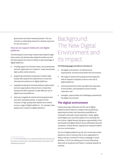government and other interested parties. This can include us undertaking research to develop resources for the arts sector.<sup>10</sup>

# How we can support media arts and digital platforms

The following are some ways Creative New Zealand might help sustain and develop New Zealand's media arts and the New Zealand arts sector's ability to take advantage of digital platforms:

- Funding support for the best artists, arts practitioners and arts organisations to research, create and present high-quality media artworks.
- Supporting individuals and groups to deliver highquality New Zealand arts experiences to local and international audiences via digital platforms.
- Capability building for the New Zealand media artists and arts organisations that we fund, to help them develop the skills required to make effective use of digital tools and platforms.
- Advocacy, targeted at central and local government and other interested parties, in support of the inclusion of high-quality New Zealand arts content across a range of digital platforms – for example, New Zealand arts content on digital television.

# Background: The New Digital Environment and Its Impact

#### **The following pages provide an overview of:**

- the digital environment, its infrastructure requirements, and key trends within the environment,
- the range of central and local government agencies with an interest in people's access to and use of, digital platforms,
- environmental factors that may affect the responses of arts funders, and examples of some of those responses, and
- strengths, opportunities and challenges presented by the digital environment.

# **The digital environment**

Twenty years ago media arts and the use of digital platforms were limited to a range of arts practitioners exploring the artistic and interactive possibilities of computers and audio-visual equipment. Today, digital technologies are a pervasive aspect of our everyday life and culture. Digital literacy has grown exponentially in the last decade and digital devices have proliferated; personal computers, mobile devices, laptops and computer tablets are now commonplace.

The use of digital platforms by the arts community in New Zealand is now so ordinary that an arts organisation is likely to attract comment if it lacks a webpage or email facilities, or if it's not making use of social networking sites such as Facebook and Twitter or posting material on YouTube.

<sup>10</sup> For more information on our advocacy research and resources see http://www.creativenz.govt.nz/en/developing-the-arts/research-andpublications/resources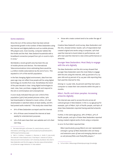## Some statistics

Since the turn of the century there has been almost exponential growth in the number of New Zealanders using the internet and digital platforms such as mobile phones, MP3 players and, most recently, computer tablets like the Kindle and the iPad. New Zealand households with a broadband connection jumped from 33% in 2006 to 63% in 2009.<sup>11</sup>

Worldwide a recent growth area has been the use of mobile phones and devices. The International Telecommunications Union estimating there would be 5.3 billion mobile subscriptions by the end of 2010. This equated to 77% of the world's population.

In the fast changing digital environment, data from two years ago may not reflect how people will be using digital technology six months from now. Nonetheless the trend of the past decade is clear. Using digital technologies to read, view, hear, purchase, engage with and respond to the arts is commonplace and unexceptional.

A 2007 study indicated that just over a third of the population (34%) had posted pictures online, 29% had downloaded or listened to music online, 21% had downloaded or watched videos at least weekly, and 8% had posted audio material.<sup>12</sup> This study also noted that:

- 81% of New Zealanders surveyed used the internet
- 81% of those users browsed the Internet at least weekly for entertainment purposes
- 13% of all users have their own website and 10% their own blog

those who create content tend to be under the age of 30.

Creative New Zealand's 2008 survey, *New Zealanders and the Arts,* showed similar results: 23% of respondents had created original arts works using a computer, 29% had used the Internet to book tickets to performances, and 38% had used the Internet to view online performances or artworks.

# Younger New Zealanders: Most likely to engage with the arts digitally

The *New Zealanders and the Arts* survey showed that younger New Zealanders were the most likely to engage with the arts using the Internet, with 59 percent of 15-24 year olds and 43 percent of 25–44 year olds reporting they had used the Internet for this.

Among 10–14 year olds, 83 percent said they had used a computer to create their own artworks within the past 12 months.

# Māori, Pacific and Asian peoples: Accessing artworks digitally

The Internet was used to access the arts across all cultural groups in New Zealand. In the 15–24 age group for example, 59% of Māori, 63% of Pacific people, and 69% of Asian New Zealanders reported having watched artworks on line.

Further, in the same age group, 28% of Māori, 37% of Pacific people, and 43% of Asian New Zealanders reported having created original works of arts using a computer.

In 2010 Te Puni Kōkiri reported that:

*Māori (particularly young Māori) are over-represented amongst a group of New Zealanders who are heavy and extensive users of new and emerging devices such as cell phones/PDAs and iPods/MP3 players.13*

<sup>11</sup> See www.stats.govt.nz/browse\_for\_stats/industry\_sectors/ information\_technology\_and\_communications/HouseholdUseofICT\_ HOTP2009/Commentary.aspx

<sup>12</sup> Bell, A., Crothers, I. Kripalani, K., Sherman, K., Smith, P. (July 2008) The Internet in New Zealand 2007. Final Report. Institute of Culture, Discourse and Communication, AUT University (Auckland, NZ) cited in New Zealanders and the Arts page 33. See also www.onlinemarketer. co.nz/internet-usage-behaviour-in-new-zealand

<sup>13</sup> Te Puni Kōkiri, Mātauranga Whakarāpopotonga (Knowledge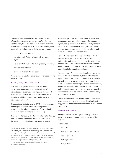Commentators have noted that the presence of Māori information on the Internet has benefits for Māori, but also that many Māori see risks to their culture in making information too freely available in this way. For indigenous peoples in particular, some of the issues can include:

- threats to cultural values
- loss of control of information once it has been digitised
- issues of intellectual and cultural property ownership
- accuracy and authority
- commercialisation of information.<sup>14</sup>

These issues can also be areas of concern for people in the wider arts sector.

#### Building a digital infrastructure

New Zealand's digital infrastructure is still under construction. Affordable broadband (high-speed) Internet access is seen as a critical part of the national infrastructure, and the Government has committed to spending \$1.5 billion between 2009 and 2019 to roll out ultra-fast broadband.15

Broadcasting of digital television (DTV), with its potential for multiple, interactive channels and high-definition services, is to be rolled out across all of New Zealand between September 2012 and December 2013.

Between 2006 and 2009 the Government's Digital Strategy provided funding support for a number of aspects of the production, distribution and archiving of content

Summary Sheet) 001 – 2010. Go to www.tpk.govt.nz/en/in-print/ourpublications/fact-sheets/use-of-broadcasting-and-e-media-maorilanguage-and-culture/download/tpk-broadcast-factsheet-en-2010.pdf 14 Alistair Smith. Fishing with New Nets: Maori Internet Information Resources and Implications of the Internet for Indigenous Peoples. Go to www.isoc.org/inet97/proceedings/E1/E1\_1.HTM

15 Go to www.beehive.govt.nz/release/budget-kick-startsbroadband-investment

across a range of digital platforms. More recently these programmes have been winding down – for example the Digital Strategy Community Partnership Fund (managed by the Department of Internal Affairs) was last offered in 2009. However, a computers-in-homes scheme and a computer clubhouse scheme continue.

New Zealand can sometimes lag behind other developed countries when it comes to access to the latest technologies and support. For example delays in getting iPads on sale in New Zealand, the lack of locally based ebook reader support, the national, high speed broadband network not being completed until 2019.

The developing infrastructure will benefit media arts and enhance the arts sector's ability to take advantage of digital platforms. In future, arts content is as likely to be enjoyed at home or on the move as in a gallery, library, theatre or museum. As the digital infrastructure improves, national broadcasters, telecommunication companies and online publishers may move away from mass-market approaches towards focusing on smaller niche markets, including arts markets.

Digital technologies and increasing accessibility will also present opportunities for greater participation in and engagement with the arts for a wide variety of peoples and communities.

### Government agencies

A range of central and local government agencies have interests in New Zealanders access to and use of digital platforms.

#### This includes:

- NZ on Air
- Television New Zealand
- Radio New Zealand
- Te Māngai Paho
- Te Puni KŌkiri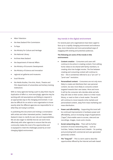- Māori Television
- the New Zealand Film Commission
- Te Papa
- the Ministry for Culture and Heritage
- the National Library
- Archives New Zealand
- the Department of Internal Affairs
- the Ministry of Economic Development
- the Ministry of Science and Innovation
- regional art galleries and museums
- local libraries
- the Media Studies, Fine Arts, Music, Theatre and Film departments of universities and tertiary training institutions

With so many agencies having a part to play there may be duplication of effort or, more worryingly, agencies may be working with old assumptions and failing to respond in an appropriate way to the changing environment. It can also be difficult for an artist or arts organisation to know exactly what the different agencies are responsible for or what they are trying to achieve.

In publishing this document and inviting a conversation with artists and other interested parties, Creative New Zealand is keen to clarify its own role and responsibilities. We are also eager to identify how we can work more effectively with other agencies to ensure that the arts community makes the most of its opportunities and is equipped to meet the challenges posed by an everchanging digital environment.

# Key trends in the digital environment

For several years arts organisations have been urged to face up to a rapidly changing environment and embrace new, more interactive and more personalised ways of engaging with existing and potential audiences.

# **The following are some of the trends in this environment:**

- **Content creation** Consumers and users will continue to be active in creating content, from editing home videos to be shared with family members, to creating ultra-low-budget movies. The line between creating and consuming content will continue to blur – this is sometimes referred to as a "pro-am" or "prod-user" revolution.
- Personalised content Consumers are not only more likely to create and distribute their own personal content, but also more likely to consume content targeted towards their own tastes. More and more it will be the consumer who decides what and who they will view on their screen, listen to in their music library, or read on their e-book reader. The world will continue to move towards niche markets and personalised content, away from mass marketing and mass distribution.
- **Power and affordability** Supporting this trend will be continued improvements in hardware power and affordability, and an increasing range of applications ("apps") that enable users to access, view and use recordings, images, music and e-books.
- **Social networking sites** There will be further evolution of social networking sites, – such as YouTube, Twitter, Facebook and LinkedIn - for posting and promoting both commercial and user-generated (personal) content.
- **The "long tail"** This is a term used to describe opportunities offered by the Internet and web-based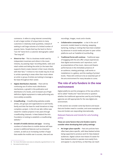commerce. It refers to using Internet connectivity to sell a large number of unique items to many customers in relatively small quantities, instead of seeking to sell large volumes of a limited number of popular items. People that buy the hard-to-find or "non-hit" items form a customer demographic called "the long tail".

- **Direct-to-Fan** This is a business model used by independent musicians and others in the music industry, by-passing major recording labels, radio and retail outlets and letting the artist (or the team that supports them) create interest in their music directly with their fans.16 A Direct-to-Fan model may be of use to artists operating in areas other than music where an artist or group of artists are looking to leverage a fan base throughout their career.
- **Digital distribution channels** There will be continuing use of online music distribution mechanisms, a growth in the publication and distribution of e-books, and increased use of highdefinition digital equipment to make performing arts more widely accessible.
- **Crowdfunding** Crowdfunding websites enable artists, arts groups and organisations to ask friends, family and their fan base for small donations to help complete a project. In the US over \$80 million was raised for creative projects in two years through crowdfunding channels. In New Zealand the Arts Foundation is looking to establish a crowdfunding website.<sup>17</sup>
- **Growth of mobile devices and apps** Growing numbers of subscribers to mobile devices will have access to additional features such as streamed content, as well as an increasing number of apps that enable the mobile user to access, view and use

recordings, images, music and e-books.

- **Collaborative consumption** a rise in the use of economic models based on sharing, swapping, bartering, trading or renting that have been enabled by advances in social media and peer-to-peer online platforms such as TradeMe & CouchSurfing.
- **Traditional forms will continue**  Traditional ways of engaging with the arts offer unique experiences that digital environments can't reproduce, such as presentations of live music, dance and theatre performances in the immediate presence of an audience; viewing paintings, craft works or installations in a gallery; and the reading of printed books. These will continue to be an essential part of the arts environment for many decades to come.

# **The role of arts funders in the new environment**

Digital platforms and the emergence of the new artform we've called "media arts" have led some to question whether the traditional approaches used by arts funding agencies are still appropriate for the new digital arts environment.

In this section we consider some key factors and issues that arts funders need to consider, and some examples of how arts funders are responding internationally.

# Relevant features and trends for arts funding policy

# **These are some factors that arts funders need to consider when developing their policy settings:**

• **No longer place-specific** – Past arts policies have often been place-specific, with New Zealand artists being supported to produce work for New Zealand audiences. Digital culture now means it's easier for New Zealand artists to operate more easily from, and appear in, any territory, so that they can reach

<sup>16</sup> For more information see www.en.wikipedia.org/wiki/Direct-to-Fan

<sup>17</sup> See www.boosted.org.nz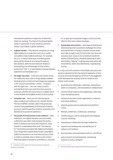international audiences irrespective of where the artists are working. The internet has allowed global artists to participate in local initiatives and local artists to participate in global initiatives.

- **A global market** International companies are using digital platforms to make their work more readily accessible to New Zealand audiences. For example, the 2011-12 season of the New York Metropolitan Opera will be shown at 28 cinemas throughout New Zealand, while the (UK) National Theatre is broadcasting one-off showings of three of their productions "live" in 17 New Zealand cinemas between September and December 2011.<sup>18</sup>
- **No longer top down** In the arts and cultural sector the traditional value chain is being rapidly modified. Growing access to tools and technology now supports a 'DIY' process and aesthetic. Artists – or anyone with the right tools – can now create, produce and distribute their own work from their personal computer, whether the end product is a digital one or a more familiar and tangible product such as a book.
- **Consumer-led** There are now internet spaces where creators and audiences can connect directly. This has modified a market system that previously involved many gatekeepers (including arts funders), as a work made its way from creation, production and distribution to audience experience.
- **The people formerly known as the audience** With traditional, non-digital literature, arts and media, a distinction was often made between the author, artist or producer and those who listened to, read, viewed or contemplated their work. The capacity for interactivity associated with digital technologies may change these relationships.People using digital platforms may want to do more than just buy a book or ticket or passively view or listen to arts content. They may expect to be able to contribute to, comment

on, or alter and manipulate images, sounds and text, often for their own creative purposes.

• **Sustainable arts practice** – New ways of working and disseminating work can present challenges for artists and practitioners in trying to maintain income levels and make enough to pay for basics like rent, food and a pension plan. Issues to be considered include the merits of limited versus unlimited editioning of work, and whether "sharing" or giving away work online will be beneficial, rather than detrimental, to generating income.

At a July 2008 mini-summit on New Media arts policy and practice organised by the International Federation of Arts Councils and Cultural Agencies (IFACCA) it was suggested a well developed set of policy tools for media art and culture could include:

- productions by individuals, collectives, associations, artist run companies, and transnational collaborations
- research driven projects and programmes, often with trans-disciplinary teams
- infrastructures that include organisations, networks and virtual platforms
- physical spaces such as media labs and exhibition venues
- festivals, exhibitions, conferences, workshops
- mobility support such as travel grants and shipping costs for exhibiting
- transnational collaboration through residencies
- research and development; and distribution of software and hardware
- documentation and publications both on- and off-line
- policy research and development, maintaining 'practice to policy' dialogue<sup>19</sup>

<sup>18</sup> Appendix 4 of this paper lists the NZ cinemas involved and productions available.

<sup>19</sup> See http://media.ifacca.org/uploads/ASEFReport2008.pdf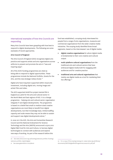# International examples of how Arts Councils are responding

Many Arts Councils have been grappling with how best to respond to digital developments. The following are some examples of recent approaches.

#### **Arts Council of England**

The Arts Council of England (ACE) recognises digital arts practice and supports artists and arts organisations across artforms to present and promote the arts in "new and inspiring ways".

All of the ACE's funding programmes are cited as being able to respond to digital opportunities. These programmes include the National Portfolio, Grants for the Arts, and the new strategic lottery funds.<sup>20</sup>

Digital arts have long been supported within visual arts investment, including digital arts, moving image and artists' film and video.

The ACE supported AmbITion project started life in England as a pilot for the arts and cultural sector in the North West and East regions of ACE. It is a change programme – helping arts and cultural sector organisation integrate IT and digital developments. The programme is based on a belief that small to medium sized creative organisations are most likely to benefit from digital developments, but their knowledge base, limited staffing capacity and scale means they may not be able to sustain and support new digital developments alone.<sup>21</sup>

In June 2011 the ACE, the Arts and Humanities Research Council and the National Endowment for Science Technology and the Arts (NESTA) announced a £500,000 Digital R&D Fund for Arts and Culture, to harness digital technologies to connect with audiences and explore new ways of working. As part of the research before this

fund was established, a scoping study interviewed 60 people from a range of arts organisations, museums and commercial organisations from the wider creative media industries. The scoping study identified three broad segments, based on the interviewees' use of digital media:

- **digital creative organisations** for whom digital media is fundamental to their core creative and cultural output
- **multi-platform cultural organisations** from the traditional arts and cultural sectors that have embraced digital media both for engaging with audiences and for creative practice
- **traditional arts and cultural organisations** that mainly use digital media as a tool for marketing their live offerings.<sup>22</sup>

<sup>20</sup> See www.artscouncil.org.uk/funding/national-portfolio-funding/ national-portfolio-depth/digital

<sup>21</sup> See www.getambition.com/about

<sup>22</sup> For a copy of the scoping study go to: www.nesta.org.uk/library/ documents/NESTADigitalRnDProgrammeJune201V2.pdf.pdf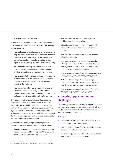#### **The Australia Council for the Arts**

In June 2009 the Australia Council for the Arts announced its *Arts Content for the Digital Era Strategy*.<sup>23</sup> This strategy has four streams:

- **New audiences:** promoting access to arts content to help the sector better understand audiences and their behaviour in the digital era, and to promote greater access to Australian-sourced arts content across digital platforms, locally, regionally and internationally
- **New domains:** evolving arts content and practice to raise the profile of emerging artforms and support artists to evolve their arts practice in new domains
- **New incomes:** linking arts content and commerce to build the capacity of the sector to adopt appropriate business, marketing, copyright and distribution models in the digital era
- **New support:** producing and preserving arts content – to offer support that is fitting for a new crossplatform arts landscape and encourage the creation of and access to arts content through digital archives.

Over recent years the Australia Council has supported Opera Australia and the Australian Ballet to undertake live simulcasts to eight high-definition cinemas around Australia. It has also been exploring ways to support the digital transmission across Australia of works by major performing arts companies. These initiatives have involved the Council working directly with broadcasters such as the ABC, ABC Online and internet channels.

Other media arts and digital platform programmes supported by Australia Council artform boards include:

• **Synapse Residencies** – through which the Australian Network for Arts and Technology (ANAT) is calling for applications for arts/science collaborations.

See: www.anat.org.au/2010/12/2011-synapseresidencies-call-for-applications/

• **AlloSphere Residency** – presented by the Music Board and Inter-Arts office with the University of California.

See: www.australiacouncil.gov.au/grants/grants/ allosphere\_residency

• **Literature New Work – Digital and New media Writing** – to assist Australian writers and illustrators working in the digital space to create digital and/or new media works with a literary focus.

See: www.australiacouncil.gov.au/grants/grants/new\_ work\_-\_digital\_and\_new\_media\_writing\_grants

• **A Geek in Residence pilot** – to enable digital artists and technicians ("geeks") to share skills and experience with arts workers and organisations.

See: www.australiacouncil.gov.au/news/items/pre-2010/geeks\_open\_gateways\_for\_the\_arts

# **Strengths, opportunities and challenges**

The following are some of the strengths, opportunities and challenges that Creative New Zealand believes it will need to take account of when it develops any policy around media arts or digital platforms:

#### **Strengths**

- the talents and abilities of New Zealand artists, arts practitioners and arts organisations
- New Zealanders resourcefulness an ability to create opportunities with minimal resources
- the active engagement by New Zealand media artists with international sites and networks.

<sup>23</sup> See www.australiacouncil.gov.au/special\_projects/arts\_digital\_era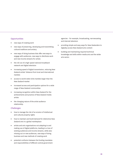# **Opportunities**

- new ways of creating work
- new ways of preserving, developing and transmitting cultural traditions and artistry
- new ways of doing business that offer new ways to engage with audiences, new ways to distribute work and new income streams for artists
- the roll out of a high-speed national broadband network and digital television
- increasing speed of digital transmission, reducing New Zealand artists' distance from local and international markets
- access to world-wide niche markets larger than the New Zealand market
- increased access and participation options for a wide range of New Zealand communities
- increasing recognition within New Zealand for the achievements and practice of New Zealand media artists
- the changing nature of the artist-audience relationship.

# Challenges

- how to manage the risk of an erosion of intellectual and cultural property rights
- how to maintain and build demand for distinctive New Zealand arts in a global marketplace
- artists and arts organisations not adapting to and making use of digital platforms, leading to a loss of existing audiences and income streams, while also missing out on new audiences, new ways of doing business and new methods of creating work
- potential confusion between the funding mandates and responsibilities of different central government

agencies – for example, broadcasting, narrowcasting and internet television

- providing simple and easy ways for New Zealanders to digitally access New Zealand arts content
- building and maintaining required technical knowledge and skills within media arts and the wider arts sector.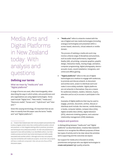# Media Arts and Digital Platforms in New Zealand today: With analysis and questions

# **Defining our terms**

# What we mean by "media arts" and "digital platforms"

A range of terms are used, often interchangeably, when describing the ways in which artists, arts practitioners and arts organisations are using digital technologies. Terms used include "Digital Arts", "New media", "media arts", "Electronic media", "Screen arts", "Hybrid arts" and "Interarts".24

Given this varying terminology, it's important that we are clear on exactly how this paper uses the terms "media arts" and "digital platforms":

• **"Media arts"** refers to artworks created with the use of digital and new media technologies (including analogue technologies) and presented within a screen-based, electronic, virtual network or mobile domain.

The process of realising a media arts work may involve a diverse range of disciplines and practices, such as audio-visual performance, Augmented Reality (AR), 3D printing, computer graphics, graphic design, interactive media, moving image, animation, computer programming, digital photography, electroacoustic music, sound installation, holograms, and online and offline gaming.

• **"Digital platforms"** refers to the use of digital technologies as a medium to engage with audiences, to promote and discuss artwork, to document and archive work, and/or to distribute work and make it more widely available. Digital platforms are not artworks in themselves: they are a means for audiences (viewers, readers, listeners, buyers, attenders and so on) to access or participate in the arts.

Examples of digital platforms that may be used to engage, promote, document, archive, discuss or distribute work include: the Internet, mobile devices, e-books, computer tablets, compact discs (CDs), digital versatile discs (DVDs), digital television (DTV), electronic ticketing systems, and customer relationship management (CRM) databases.

# Analysis and questions

In distinguishing between "media arts" and "digital platforms" as described above, Creative New Zealand's intention is to recognise the different purposes of these two types of activity and to be clear about the activities we're supporting and the outcomes we expect.

Our support for media arts is focused on artists, practitioners and groups who use digital technologies to **create and present** high-quality artworks.

<sup>24</sup> Creative New Zealand sees Inter-arts as projects and activities that involve a singular artistic vision that combine artforms and/or cultural arts practices, or that integrate existing artform practices, processes and techniques into a distinctive artwork. An Inter-arts practitioner is expected to have skill and ability in an identifiable artform, but their creative process and work may involve techniques and skills usually associated with another artform. Although some Inter-arts projects may have similarities with media arts projects, not all Inter-arts projects will have a media arts component. Inter-arts are not a focus of this discussion paper.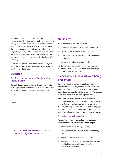By contrast, our support for the use of digital platforms is focused on artists, practitioners and arts organisations making use of digital platforms as a means for audiences and others to **access and participate** in the arts. Here, the creation or presentation of the artwork itself may or may not rely on a digital technology – what is key is that the digital platform is primarily being used for archiving, engagement, promotion, discussion, distribution and/or marketing.

Creative New Zealand sees both media arts and digital platforms as essential features of New Zealand's current and future arts landscape.

# **Question**

# Q.1: Our distinction between "media arts" and "digital platforms"

Do you believe it is appropriate for Creative New Zealand to distinguish between the practice of media arts and the use of digital platforms in the way we've described?

Yes

 $N<sub>0</sub>$ 

Comment:

*Note: all questions are listed together in the Feedback form on pages 36 - 39.*

# **Media arts**

#### **In the following pages we summarise:**

- places where media arts activities are happening
- people involved (media artists and groups)
- projects that Creative New Zealand has supported in recent years
- our current media arts funding policies.

We then ask you a few questions about Creative New Zealand's existing policies and what our policy settings should be for the next five years.

# **Places where media arts are being presented**

Sites where media arts are presented range from formal spaces such as art galleries, schools, museums and universities, to more public spaces such as retail, entertainment and media outlets, to less formal sites such as personal computers and mobile phone screens.

By their nature, media arts often involve or result in the simultaneous use and interconnection of real and virtual spaces. The range and extent of these interconnections can be significantly increased when the practice engages with networks, whether real or virtual. Engagement with networks is often a significant part of media arts practice.

# The tertiary education sector

# **The tertiary education sector has been an active supporter of media arts practice – for example:**

- The Print Factory, at Massey University
- Colab, based at Auckland University of Technology (AUT)
- Hitlab, at the University of Canterbury, and
- support for the ADA (Aotearoa Digital Arts) Network provided by the Otago Polytechnic, AUT and the University of Canterbury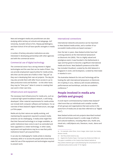New and emergent media arts practitioners are also studying within tertiary art schools and wānganga. AUT University, Dunedin School of Art, Massey @ Wellington, and Elam School of Art all have specific strengths in media arts.

A number of tertiary education institutions are also interested in developing partnerships with other agencies and with the commercial sector.

# Commercial use of digital technology

The commercial sector has a strong interest in digital technologies and the uses that can be made of them. This can provide employment opportunities for media artists, who then use the same set of skills in their "day job" as they use in developing their own art projects. The day job may also provide them with after-hours access to up-todate production tools and facilities – on the other hand, they may be "time poor" when it comes to creating their own work in their own time.

# Infrastructure and equipment

The necessary hard infrastructure for media arts, such as a national high-speed broadband network, is still being developed. Other material requirements for media artists can include both computer software and hardware. For an overview of New Zealand's digital infrastructure, see page 9 of this paper.

Media arts by their nature are rapidly evolving, and maintaining the equipment required to present media artworks can be challenging. A media artist might find that their favoured technology is no longer available, as public institutions have come to see it as outmoded and have upgraded to a newer technology. In other cases, equipment and applications may be so new that public institutions haven't yet acquired them.

It can also be challenging for media artists to develop necessary skills or to access the people who know how to make full use of the equipment and technologies required to present work.

# International connections

International networks and practice can be important to New Zealand media artists, and a number of our successful media artists are based overseas.<sup>25</sup>

Over the last 10 years, New Zealand artists have had a strong presence at the International Symposium on Electronic Art (ISEA). This is a highly valued and prestigious event; it was founded in the Netherlands in 1990 and has grown to become a significant international media arts forum. New Zealand's presence at the ISEA has included *Cloudland,* curated by the ADA Network in Singapore in 2008, and *EcoSapians,* curated by Intercreate in Istanbul in 2011.

The Australian Network for Arts and Technology will be hosting the 19th International Symposium on Electronic Art in Sydney in 2013. ISEA2013 will include exhibitions, performances and workshops, and also an academic conference.<sup>26</sup>

# **People involved in media arts (artists and groups)**

A 2008 report commissioned by Creative New Zealand<sup>27</sup> cited more than 40 individuals and a smaller number of arts groups and organisations that were active in the some form of media arts (it was then referred to as "digital arts").

New Zealand artists and arts projects described involved skills and techniques based in a wide range of artforms and cultural traditions, including Māori arts, Pacific arts, visual arts, craft/objects arts, literature, music, dance and theatre.

<sup>25</sup> For example Julian Oliver, Honor Harger, Adam Hyde, Sue Healey, Kentaro Yamda.

<sup>26</sup> See http://www.isea2013.org

<sup>27</sup> *Digital Arts Position Paper. Final report by McDermott Miller Ltd.* The paper is available on the Creative New Zealand website at http://www.creativenz.govt.nz/en/developing-the-arts/research-andpublications/documents (under 'D' for Digital)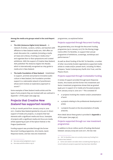**Among the media arts groups noted in the 2008 Report were:**

- **The ADA (Aotearoa Digital Arts) Network** A network of artists, curators, writers, and teachers with affiliation to New Zealand media arts. ADA offers an email-discussion list, a website (including a media art base and a library of writing on media arts), $28$ and organises face-to-face symposiums and curated exhibitions. With the support of Creative New Zealand, ADA published *The Aotearoa Digital Arts Reader,* which is internationally recognised as a key guide to media arts in New Zealand.
- **The Audio Foundation of New Zealand**  Established to support, promote and preserve innovative audio culture in New Zealand, the Foundation provides support to a nationwide network of practitioners whose work involves an exploratory approach to sound.<sup>29</sup>

Some examples of New Zealand media artists and the types of arts projects they are involved with are outlined in Appendix 1 of this paper (see page 29).

# **Projects that Creative New Zealand has supported recently**

In the 30-month period from January 2009 to June 2011, Creative New Zealand granted \$1,073,400 in direct support of media arts projects, or projects that had elements with a significant media arts focus. Examples of projects with a significant media arts focus are media artists appearing as part of the Splore Festival or the Prague Quadrennial.

Funding support was provided through the former Recurrent Funding programme, Arts Grants, Quick Response Grants, and two new arts investment

programmes, as explained below:

# Projects supported through Recurrent Funding

We granted \$625,000 through the Recurrent Funding programme (up to January 2011) for the Moving Image Centre (MIC) Toi Rerehiko, to support their annual programme of exhibitions, screenings, workshops and performances.30

As well as direct funding of the MIC Toi Rerehiko, a number of other recurrently funded organisations supported media artists to create and/or present work, including Toi Māori, Artspace, Tautai Contemporary Pacific Arts Trust, and the Physics Room.

# Projects supported through Contestable Funding

A review of support provided through Quick Response Grants, Arts Grants and the former Arts Investment and Sector Investment programmes shows that we granted \$448,400 in support of 27 media arts-focussed projects from January 2009 to June 2011. $31$  This consisted of:

- 21 projects involving the creation and/or presentation of work
- 4 projects relating to the professional development of artists
- 2 projects focused on the documentation of media artworks.

More detail about these grants is provided in **Appendix 2**  of this paper (see page 32).

# Projects supported through our new investment programmes

In addition to the \$1 million worth of funding distributed between January 2009 and June 2011, the two new

<sup>28</sup> See www.aotearoadigitalarts.org.nz

<sup>29</sup> See www.audiofoundation.org.nz

<sup>30</sup> MIC Toi Rerehiko does not currently receive any funding from Creative New Zealand.

<sup>31</sup> Some care needs to be taken when considering these figures, as not all media arts projects supported may have been identified.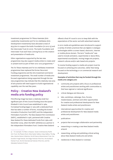investment programmes Toi Tōtara Haemata (Arts Leadership Investments) and Toi Uru Kahikatea (Arts Development Investments) have allocated a total of \$153,600 to support the Audio Foundation (in 2012-13) and the Intercreate Trust (in 2012). The Audio Foundation and Intercreate Trust each have a strong focus on the creation and presentation of media arts.

Other organisations supported by the two new programmes may also support media artists to create and/ or present work as part of their 2012-2014 programmes.<sup>32</sup>

The Toi Tōtara Haemata and Toi Uru Kahikatea investment programmes have replaced the former Recurrent Funding programme and the Arts Investment and Sector Investment programmes. The small number of media artsfocused organisations being supported through the two new programmes may indicate that this relatively new area of arts practice will need support to build organisational capability over the next few years.

# **Policy – Creative New Zealand's media arts funding policy**

Film/Moving Image has been a relatively small but significant part of Arts Council funding since the Queen Elizabeth II Arts Council was established in 1964. Formalised funding began in 1973 with a dedicated fund that has taken a number of forms, including the Screen Innovation Production Fund (SIPF) and the Independent Filmmakers Fund (IFF). The New Zealand Film Commission (NZFC), established in 1978, partnered with Creative New Zealand for these dedicated Funds from 1984 until December 2009, when the NZFC withdrew as a partner in the Independent Filmmakers Fund. Creative New Zealand

offered a final IFF round in 2010 to keep faith with the expectations of the sector and with advertised material.

In 2010 media arts guidelines were introduced to support a variety of artistic practices that use digital or analogue technologies within a screen-based, electronic, internet or mobile phone domain. The term "media arts" was used to include animation, experimental or dance films, experimental sound/audio, moving image arts projects, network cultures and/or web-based arts projects.

To receive funding support a media arts project must be focused on achieving arts outcomes, rather than being focused on the technology or on commercial research and development.

# **Examples of activities that may be funded through the media arts category are:**

- community arts projects with a focus on professional artists and practitioners working with communities or, that have regional or national significance
- critical dialogue and discourse
- labs, workshops, wānanga, fono, forums, masterclasses, seminars and other opportunities for creative and professional development for New Zealand media artists and practitioners
- international opportunities for creative and professional development for New Zealand media artists and practitioners
- publications
- projects that encourage collaboration and partnership
- researching or creating a new New Zealand media artwork
- researching, writing and publishing critical writing about New Zealand media arts and artists
- residencies in New Zealand or overseas

<sup>32</sup> For example: Toi Māori, Artspace, Tautai Contemporary Pacific Arts Trust, the Physics Room, Blue Oyster Gallery, Enjoy Gallery, The Big Idea, Atamira Dance Collective, the NZ Dance Advancement Trust, the Dunedin Fringe Festival, the Otago Festival of the Arts, the Auckland Festival Trust, the NZ International Festival of the Arts, and the (Wanaka) Festival of Colour.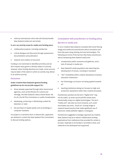visits by international critics that will directly benefit New Zealand media arts and artists

#### **In 2011 our priority areas for media arts funding were:**

- collaborative projects, including residencies
- critical dialogue and discourse through symposiums, documentation and publication
- research and creation of new work.

Funding is not restricted to identified priorities and we don't expect every grant to directly relate to a priority. However, when funding decisions are made, some account may be taken of the extent to which an activity may deliver to an artform priority.

## Exclusions

# **Under Creative New Zealand's general funding guidelines we do not provide support for:**

- those already supported through other Government agencies, such as the Ministry for Culture and Heritage, the New Zealand Lottery Grants Board, NZ On Air, the NZ Film Commission or public broadcasters
- developing, producing or distributing content for television or radio
- the purchase of capital assets such as buildings or computer hardware.

If a project is a narrative short or feature film, applicants are advised to contact the New Zealand Film Commission to discuss funding options.

# Consultation with practitioners on funding policy Barriers to media arts

In 2010 Creative New Zealand consulted with some Moving Image and media arts practitioners about innovation and how they were using existing and new technologies. The following are some of the barriers that these practitioners saw as hampering New Zealand media arts:

- unresponsive public museums and galleries, and a lack of interest in media arts
- New Zealand's small population size restricting the development of venues, including in Auckland
- "silo" mentalities within creative disciplines at tertiary education institutions
- the Technology curriculum not being applied towards art
- teaching institutions being too focused on high-end production equipment rather than creative processes.

Practitioners pointed out the term "Digital Arts" may not be useful, as some sound and film artists were intentionally using non-digital technologies. The term "media arts" was seen as more inclusive, as it could encompass any sonic, visual art, moving image or network-based practice that made significant use of electronic media (whether digital or analogue).

Practitioners suggested a strategic approach by Creative New Zealand may be to attract collaborative funding applications from institutions that provided for artists to be paid, materials to be funded or provided in kind, and networks to be developed and supported.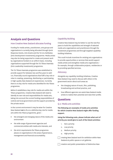# **Analysis and Questions**

# How Creative New Zealand allocates funding

Funding for media artists, practitioners, arts groups and organisations is currently being allocated through Quick Response Grants, Arts Grants and the Toi Uru Kahikatea (Arts Development Investments) programme. Media artists may also be being supported to create and present work by organisations funded on an artform basis, including organisations supported through the Toi Tōtara Haemata (Arts Leadership Investments) programme.

The Toi Tōtara Haemata programme was established to provide support for between two and five years to wellrun, financially sound organisations that fulfil a key role or roles in creating, presenting, distributing or participating in high-quality New Zealand art experiences. Currently there is no key role for media arts identified for the Tōtara programme.

Before it establishes a key role for media arts within the Tōtara programme, Creative New Zealand will need to identify its own role and responsibilities for media arts, taking into account the current funding responsibilities of central and local government and the support provided by the private sector.

In the current environment it may be wiser for Creative New Zealand **not** to fix on a definitive key role for media arts within the Tōtara programme, given –

- the emergent and changing nature of the media arts environment
- the wide range of government agencies and commercial entities with media arts interests, and
- the strict requirements the Tōtara programme places on organisations in the areas of governance, management and financial accountability.

# Capability Building

Creative New Zealand may be better to use the next five years to build the capabilities and strength of selected media arts organisations and practitioners through the Investment programmes and through targeted capabilitybuilding initiatives.

This could include incentives for existing arts organisations to provide opportunities or services that would support media artists and strengthen media arts organisations – for example, through collaborative projects, residencies or by providing specified services.

# Advocacy

Alongside any capability-building initiatives, Creative New Zealand may need to discuss with others in the government sector about such areas as:

- the changing nature of music, film, publishing, broadcasting and archival practice, and
- how different agencies can assist New Zealand media artists to realise their potential and raise their profile.

# **Questions**

# Q.2: Media arts activities

**The following are examples of media arts activities for which Creative New Zealand might offer funding support.** 

**Using the following scale, please indicate what sort of priority you would give to each of the listed activities:**

- 1. Not a priority
- 2. Low priority
- 3. Medium priority
- 4. High priority
- creating New Zealand work for exhibition within New Zealand at public spaces or art galleries

creation and public presentation of distinctive New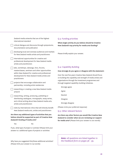| Zealand media artworks that are of the highest<br>international standard                                                                                                                                         | C                             |
|------------------------------------------------------------------------------------------------------------------------------------------------------------------------------------------------------------------|-------------------------------|
| critical dialogue and discourse through symposiums,<br>documentation and publication                                                                                                                             | V<br>N                        |
| developing local and overseas audiences and markets<br>for New Zealand media artists and practitioners                                                                                                           | P                             |
| international opportunities for creative and<br>professional development for New Zealand media<br>artists and practitioners                                                                                      |                               |
| labs, workshops, wānanga, fono, forums,<br>masterclasses, seminars and other opportunities<br>within New Zealand for creative and professional<br>development for New Zealand media artists and<br>practitioners | C<br>ŀ<br>C<br>C              |
| projects that encourage collaboration and<br>partnership, including artist residencies                                                                                                                           | О<br>t                        |
| researching or creating a new New Zealand media<br>artwork                                                                                                                                                       |                               |
| researching, writing, producing, publishing or<br>distributing catalogues, monographs, essay series,<br>and critical writing about New Zealand media arts,<br>artists and practitioners                          |                               |
| visits by international critics that will directly benefit<br>New Zealand media arts, artists and practitioners                                                                                                  | $\overline{\phantom{a}}$<br>C |
| Are there any additional types of activities that you<br>believe should be supported as part of Creative New<br>Zealand's funding of media arts?                                                                 | Α<br>Z<br>£                   |

Yes No

If yes, what type of project or activity? (Please limit your answer to 2 additional types of projects or activities

Why have you suggested this/these additional activities? (Please limit your answer to 150 words)

# Q.3: Funding priorities

**What single activity do you believe should be Creative New Zealand's top priority for media arts funding?**

Please briefly explain your answer.

# Q.4: Capability Building

#### **How strongly do you agree or disagree with the statement:**

Over the next five years Creative New Zealand should focus on building the capability and strength of media artists and rganisations through the Investment programmes and hrough targeted capability-building initiatives.

Strongly agree

Agree

Neutral

Disagree

Strongly disagree

Please circle your preferred response)

# Q.5: Other relevant factors

**Are there any other factors you would like Creative New Zealand to consider when we are reviewing our support for media arts?** (Please limit your answer to 200 words)

*Note: all questions are listed together in the Feedback form on pages 36 - 39.*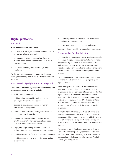# **Digital platforms**

# Introduction

**In the following pages we consider:**

- the ways in which digital platforms are being used by arts organisations in New Zealand
- the nature and extent of Creative New Zealand's recent support for arts organisations in their use of digital platforms
- our current funding guidelines relating to digital platforms.

We then ask you to answer some questions about our existing policies and potential policy settings for the next five years.

# Ways in which digital platforms are being used

# **The purposes for which digital platforms are being used by the New Zealand arts sector include:**

- archiving and documenting work
- building online communities and information exchange between identified people
- circulating email communciations to registered subscribers and supporters
- collecting audience profile, demographic data and permission-based marketing data
- creating and curating online forums for artists, practitioners and/or the wider public to discuss or post views about artworks and issues
- displaying and promoting the work of individual artists, arts groups, arts companies and arts events
- providing access to artform information and resources
- providing opportunities to the public to view and/or buy artworks
- presenting works to New Zealand and international audiences and communities
- ticket purchasing for performances and events

Some examples are provided in Appendix 3 (see page 34).

# Recent funding for digital platforms

To operate in the contemporary world requires the use of a wide range of digital equipment and platforms. In modern arts practice digital platforms may include digital sound and lighting equipment, as well as the internet, email, websites, digital archiving, data and content management system, and customer relationship management (CRM) systems.

For a number of years Creative New Zealand has provided assistance for arts organisations and groups to operate digital platforms.

From January 2010 to August 2011, we contributed at least \$140,000 under the former Recurrent Funding programme to assist organisations to operate and develop digital platforms. Most of these funds were directed towards website development, but email management systems, sound equipment and CRM database systems were also included. These contributions were in addition to core funding offered through the Recurrent Funding programme.

During the 2010-11 financial year Creative New Zealand provided support of \$40,000 towards a pilot *Optimise* programme. This Audience Development initiative aims to enable New Zealand arts organisations to use the power of online marketing to attract new audiences and increase returns.

The *21st Century Arts Conference* organised by Creative New Zealand has sought to engage the arts sector with trends and ideas about the changing nature of audience consumption and behavior, including the use of digital technologies and platforms.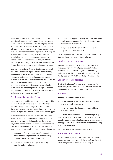From January 2009 to June 2011 at least \$270,512 was contributed through Quick Response Grants, Arts Grants and the former Arts and Sector Investment programmes to support New Zealand artists and arts organisations to take advantage of digital platforms. Some care needs to be taken when considering these figures as not all projects that used digital platforms may have been identified. Nonetheless it is apparent that grants in support of websites were the most common, with eight of the ten identified projects being focused on website development. Further details are outlined in Appendix 2 (see page 33).

Between 2002 and 2011 Creative New Zealand managed the Smash Palace Fund in partnership with the Ministry for Research, Science and Technology (MoRST). Smash Palace provided support for collaborative projects that involved NZ scientists (including technologists) and artists (including designers). Many of the 14 collaborations supported involved people from the arts and scientific communities exploring the potential of digital platforms. For example *Giant Jimmy Jones* and *Te Ahua Hiko* teams' exploration of Augmented Reality (AR).

# The Creative Communities Scheme

The Creative Communities Scheme (CCS) is a partnership between Creative New Zealand and city and district councils to support community-based arts activities throughout New Zealand. Each council takes responsibility for delivering the scheme and all local residents can apply.

In the 12 months from July 2010 to June 2011 the scheme offered 39 grants, totalling \$67,857, in support of some form of media arts or digital practice. As the terms used may not have been consistently applied, care needs to be taken when considering these grants. Nonetheless it is apparent that the use of digital platforms was a feature of:

- 20 grants for film-related projects (for example, to support the making of a short film or contributing towards the costs of a local film festival)
- four grants for web-based projects (including a YouTube project in Christchurch)
- four grants in support of making documentaries about local events or communities in Hamilton, Manukau, Tauranga and Christchurch
- two grants related to community broadcasting projects in Hamilton and the Hutt.

\$67,857 equates to just over 2% of the \$2.8 million of CCS funds available in the 2010-11 financial year.

#### New investment programmes

A number of organisations to be supported from 2012 through the new investment programmes (Toi Tōtara Haemata and Toi Uru Kahikatea) will be undertaking projects that specifically involve digital platforms, such as The Big Idea, eyeCONTACT, and Bridget Williams Books.

#### Our current funding guidelines

Creative New Zealand's current funding guidelines for Arts Grants, Quick Response and the two new investment programmes include the following provisions:

#### **Websites**

#### **Funding can support projects that:**

- create, promote or distribute quality New Zealand artwork through a website, or
- engage in artform development and arts criticism through a website.

For an established website an applicant can request up to \$30,000 per year focused on editorial costs. Applicants may also apply for a contribution towards writers' fees and up to \$5,000 towards costs directly relating to the placing of work on the website.

For a new website the maximum grant is \$5,000.

## Web-based arts projects

Applicants seeking support for a web-based arts project may seek a contribution towards the fees of New Zealand artists and practitioners involved in the project.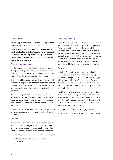# Documentaries

We can support documentaries that focus on a particular artform or artist, to a maximum of \$30,000.

**Creative New Zealand's general funding guidelines apply for all applications to Quick Response, Arts Grants and the two Investment Programmes. The general exclusions that apply for media arts also apply for digital platforms (see Exclusions, page 21).**

## Analysis and questions

Funding support for the use of digital platforms is provided through Quick Response Grants, Arts Grants, the two new investment programmes (Toi Uru Kahikatea and Toi Tōtara Haemata) and the Creative Communities Scheme.

Capability-building support has also been offered through Audience Development initiatives and the former Recurrent Funding programme. Capability-building support has often been focussed on audience development and marketing initiatives.

Web-based projects seem to be the main way in which the New Zealand arts community is seeking to use digital platforms to promote work and to provide opportunities for discussion and discourse about different areas of arts practices.

International companies are also using digital platforms to make their work more readily accessible to New Zealand audiences.

#### Funding

Current funding policies are capable of supporting artists, practitioners and arts organisations to make use of digital platforms for a wide range of arts-related activities. Over recent years the main emphasis seems to have been on:

- developing websites and the content for websites, and
- audience and market development related programmes

# Capability Building

Not all New Zealand artists or arts organisations have the means or the knowledge to engage with digital platforms. These artists and organisations risk losing existing audiences and income streams, while also missing out on new audiences, new ways of doing business and new methods of creating work. Creative New Zealand may need to take steps to build the capacity of the New Zealand arts sector to adopt appropriate business, marketing, copyright, archival and distribution models in a digital era.

#### Advocacy

Digital platforms offer new ways for New Zealanders to access and participate in the arts. However, digital platforms are not place-specific. The internet and digital television are as likely to offer opportunities for New Zealanders to access, and participate in, international content as they are for them to access and participate in New Zealand arts.

As with media arts, Creative New Zealand may need to discuss with others in the government sector about ways to ensure digital platforms profile New Zealand arts and provide ways for New Zealanders to digitally access and participate in New Zealand-sourced arts content. These discussions could also consider:

- alignment of policies in a changing environment
- ways to identify, promote and support best practice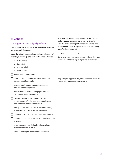# **Questions**

# Q.6: Support for using digital platforms:

**The following are examples of the way digital platforms are currently being used.**

**Using the following scale, please indicate what sort of priority you would give to each of the listed activities:**

- 1. Not a priority
- 2. Low priority
- 3. Medium priority
- 4. High priority

archive and document work

build online communities and exchange information between identified people

- circulate email communciations to registered subscribers and supporters
- collect audience profile, demographic data and permission-based marketing data
- create and curate online forums for artists, practitioners and/or the wider public to discuss or post views about artworks and issues
- display and promote the work of individual artists, arts groups, arts companies and arts events
- provide access to artform information and resources
- provide opportunities to the public to view and/or buy artworks
- present works to New Zealand and international audiences and communities
- ticket purchasing for performances and events

**Are there any additional types of activities that you believe should be supported as part of Creative New Zealand's funding of New Zealand artists, arts practitioners and arts organisations that are making use of digital platforms?** 

Yes No

If yes, what type of project or activity? (Please limit your answer to 2 additional types of projects or activities)

Why have you suggested this/these additional activities? (Please limit your answer to 150 words)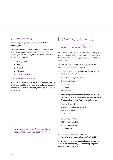# Q.7: Capability Building

# **How strongly do you agree or disagree with the following statement:**

Creative New Zealand needs to help build the capability of the New Zealand arts sector to adopt appropriate business, marketing, copyright, archival and distribution models for a digital era.

- 1. Strongly Agree
- 2. Agree
- 3. Neutral
- 4. Disagree
- 5. Strongly Disagree

# Q.8: Other relevant factors

**Are there any other factors you would like Creative New Zealand to consider when we are reviewing our support for the use of digital platforms?** (Please limit your answer to 2o0 words)

# How to provide your feedback

We invite feedback from artists, practitioners, arts groups, arts organisations and others who are interested in New Zealand's media arts and ways the arts can benefit from digital platforms.

You can provide your feedback and answers to the questions in this discussion paper by:

• **completing the feedback form at the end of this paper and posting it to us at:**

Media Arts and Digital Platforms Creative New Zealand PO Box 3806 Wellington New Zealand

• **completing the feedback form at the end of this Discussion paper and delivering it to our Northern (Auckland) or Central (Wellington) offices at:**

Northern Region Office Third Floor, Southern Cross Building 59 – 67 High Street Auckland 1010

Central Region Office Old Public Trust Building 131 -135 Lambton Quay Wellington 6011

• **completing the online survey at https://www.surveymonkey.com/s/2R9JYCD**

**We ask that you provide your feedback and answers to the questions asked by no later than 5.00 pm on Monday 19 December 2011.**

*Note: all questions are listed together in the Feedback From on pages 36 - 39.*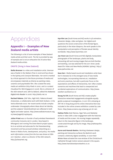# Appendices

# **Appendix 1 – Examples of New Zealand media artists**

The following is a list of some examples of New Zealand media artists and their work. The list is provided by way of example and is not an exhaustive list of active New Zealand media artists.

# ONSITE (living in New Zealand)

**Stella Brennan** is a video and installation artist. Brennan was a finalist in the Walters Prize in 2006 and has shown in the Sydney and Liverpool Biennales. Her work is marked by critical approach to the future promises of media and encompasses materials as diverse as packing crates, ceramics and psychedelic film. She curated the early media art exhibition *Dirty Pixels* in 2002, and co-curated *Cloudland* for ISEA Singapore in 2008. She is a director of the ADA network and, with Su Ballard, edited the *Aotearoa Digital Arts Reader* in 2008. http://stella.net.nz

**Rachael Rakena**. (Kāi Tahu, Ngā Puhi). Rakena showed *Aniwaniwa,* a collaborative work with Brett Graham, in the Venice Biennale 2007. Her recent works include complex underwater choeography where ideas about iwi identity, and the subjects' dis/embodiment are reflected in both digital and water spaces. http://www.waikatomuseum.org. nz/news/pageid/2145843405

**Julian Priest** was co-founder of early wireless freenetwork community Consume.net in London. Now based in Whanganui and running The Green Bench project space, he is an activist and advocate for the freenetworking movement and has pursued wireless networking as a theme in fields of arts, development, and policy. His media work *Information comes from the Sun* was shown at ISEA 2011 Istanbul. Julian is a director of the ADA network. http://julianpriest.org

**Hye Rim Lee** (South Korea and NZ) works in 3D animation, character design, video and glass. Her digital work questions the social construction of the female figure, particularly in the Asian diaspora, the work speaks to the manipulation and perception of female sexual identity worldwide. http://www.hyerimlee.com

**Jae-Hoon Lee** (South Korea and NZ) digitally manipulates photographs of the landscape, plants and body, reinventing still and moving images that are both familiar and startling. Lee was selected for the 2011 Anne Landa Award for Video and New Media (AGNSW, Sydney). http:// www.jaehoonlee.net

**Sean Kerr**. Media based sound and installation artist Sean Kerr's interests lie in the emergent area of new media technologies, incorporating internet art, installation and sonic practices, but with a particular focus on the expectations and effects of interactivity. Kerr often creates scenarios and machines that lead to unexpected and accidental explorations of communication. http://www. seankerr.auckland.ac.nz

**Seung Yul Oh** (South Korea and NZ) creates playful interactive networked engagements alongside equally gentle sculptural investigations. In 2011 Oh is showing at ART HK in Hong Kong and his online interactive *Rain* was included in the online screens exhibition curated by Luke Munn. http://www.screens.org.nz/seung-yul-oh-rain

**Nathan Pohio** (Kati Mamoe, Ngai Tahu and Waitaha) works in video with a clear engagement with the histories of media and the screen. His moving images repeatedly return to the masculine figure in the landscape, constructed through and by his image. http://nathanpohio. yolasite.com

**Aaron and Hannah Beehre.** Working inbetween design, painting and interactive surfaces the Beehre's work contains a distinctly digital sensibility. In 2007 their *Winter Rose* activated the rose window of the Christchurch Cathedral through motion sensors placed in the square. http://www.hannahandaaronbeehre.co.nz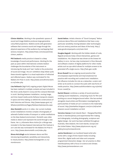**Clinton Watkins**. Working in the synesthetic spaces of sound and image Watkins produces large generative colourfield projections. Watkins works with generative software that connects sound and image through the physical experience of the audience by overlapping their sensory receptors. http://www.frieze.com/issue/article/ clinton\_watkins

**Phil Dadson's** media practice is based in a deep knowledge of sound and performance. Working for the past 40 years within international contexts Dadson challenges the boundaries of the instrument reintroducing the body and 'new' media to the production of sound and image. His 2011 exhibition *Deep Water* pulls these strands together in a visual exploration of refracted and reflected space. Dadson was nominated for the Walters Art Prize in 2006. http://www.sonicsfromscratch. co.nz/index.php

**Lisa Reihana's** (Ngā Puhi) ongoing project *Digital Marae*  has been realized in multiple contexts and was included in the Anne Landa Award in 2009 and the Liverpool Biennale in 2008. Working between installation, moving image, and time-based media works Reihana transports viewers in space and time making us rethink the constructions of both histories and futures. http://www.tepapa.govt.nz/ Whatson/exhibitions/Pages/Maiitearohakotearoha.aspx

**Alex Monteith** works in in video. Her current multiple screen installations involves complex choreography of adrenalin fuelled modes of transport or subtle meditations on the New Zealand environment. Monteith uses video media to distort and represent the world through a new frame. Her *2.5 Kilometre Mono Action for a Mirage* was included in the New Zealand International Film Festival in 2011 and she was nominated for the Walters Art Prize in 2010. http://www.alexmonteith.com/index.php

**Shona McCullagh** works between dance and film introducing kinaesthetic sensibility and interactivity to visual practice. http://www.humangarden.co.nz/ mondonuovo

**Daniel Belton**. Artistic director of "Good Company" Belton produces dance films and installations that have a very particular sensibility moving between older technologies and 21st century practices and ideas of the body. http:// www.goodcompanyarts.com/main.html

**Douglas Bagnall**. Working with the hidden details of code, Bagnall produces lively critical interactives, games and installations. His *Libsparrow* was shown at the Dowse Art Gallery in 2010. He has a key involvement in *Floss Manuals*  and software creation of digital platforms for other media artists such as *opo* which allows for multiple screens to be generated off a single source. http://halo.gen.nz/db

**Bruce Russell** has an ongoing sound practice that encompasses experimental and improvisational live practice with recording and curated sonic installation. His influence includes his role as a networker, curator and writer as he works to connect the audio with new forms of media practice. http://www.audiofoundation.org.nz/artist/ bruce-russell/74

**Rachel Shearer** combines a variety of sound practices creating sound installations, composing music for film and working as a sound designer/sound editor. She has worked alongside visual artists and filmmakers investigating the particularities of media art as it connects to the materiality of sound. http://starkwhite.blogspot.com/2011/08/rachelshearers-sound-installation-at.html

**Veronica Vaevae** (Cook Islands Maori - Mangaia/Manihiki) works in interdisciplinary and experimental film-making and videography, including photography, sculpture and digital design. Her work has been exhibited throughout Australia, New Zealand, the Cook Islands, Europe and the United States. http://www.physicsroom.org.nz/ gallery/2003/lonnieandronnie

**Janine Randerson** is an Auckland based artist who works with a range of time-based media including 16mm film, digital audio and video and computer programmed interaction design. Her art practice is often interdisciplinary with a focus on science and climate. http://www.janineranderson.com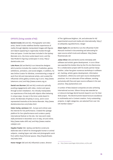# OFFSITE (living outside of NZ)

**Daniel Crooks** (NZ and AU). Photographer and video artist, Daniel Crooks redefines familiar experiences of reality through digitally manipulated images with figures and objects appearing to organically mutate through time and space. Crooks has been included in the Sydney Biennale 2010, the Anne Landa Award 2007, and the Tate Modern's *Figuring Landscapes* in 2009. http:// danielcrooks.com

**Luke Munn** (NZ and Berlin) is an interactive designer who's practice includes the creation of websites, games, exhibitions, animation, and social widgets. In addition, he was Online Curator for Window, commissioning a range of work from NZ and international artists, and curated the influential online gallery screens.org in 2010. http://www. lukemunn.com/ and http://www.screens.org.nz

**Daniel von Sturmer** (NZ and AU) constructs optically puzzling engagements with video, motion and space through screen installation. He critically manipulates our experiences of the body with objects often behaving in unique ways. He was in the Anne Landa Award in 2006, the Biennale of Sydney in 2004, and in 2007 represented Australia at the Venice Biennale. http://www. danielvonsturmer.com/index.html

**Helen Varley Jamieson** (NZ , Europe and online) uses the internet for live performance. Created the upstage platform for live cyberformance and curates a yearly international festival on the site. Her new work *make shift* premiered in December 2010 in Italy, UK and online. http://www.make-shift.net/ and http://www.creativecatalyst.com

**Hayden Fowler** (NZ, Sydney and Berlin) constructs elaborate sets in which he choreographs human or animal subjects, creating hyper-real video and photographic work from within these fictional spaces. http://haydenfowler. net/index.html

**Honor Harger** (NZ and UK) influential curator, director

of The Lighthouse Brighton, UK; and advocate for NZ experimental sound and media arts internationally. http:// en.wikipedia.org/wiki/Honor\_Harger

**Adam Hyde** (NZ and Berlin) runs the influential *FLOSS Manuals* involved in documenting and advocating for open source artist's tools and software. http://www. flossmanuals.net

**Julian Oliver** (NZ and Berlin) works intimately with software and artistic game development. In 2010 Oliver was awarded the Golden Nica by the Prix Ars Electronica for a collaborative project with his studio partner Danja Vasiliev. Julian has given numerous workshops in software art, hacking, artistic game-development, information visualisation, UNIX/Linux and open source development practices. He is an advocate of free software, working exclusively with free and open source software in his own practice. http://julianoliver.com

A number of New Zealand companies are also achieving international success. Gibson Group was awarded an e-Culture & Heritage World Summit Award in 2011 for their *Wall* project. The World Summit Award honours excellence in multimedia and e-Content creation. Forty outstanding projects, in eight categories, are selected from over 160 UN member states.<sup>33</sup>

<sup>33</sup> http://www.copenhagen.dk/en/whats\_on/the\_wall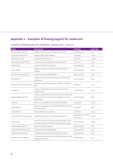# **Appendix 2 – Examples of funding support for media arts**

| <b>Client</b>                  | <b>Description</b>                                                                                                                         | <b>Pathway</b>                         | Grant (\$) |
|--------------------------------|--------------------------------------------------------------------------------------------------------------------------------------------|----------------------------------------|------------|
| Aotearoa Digital Arts Trust    | towards a symposium, performance and workshop                                                                                              | Quick Response                         | 5,400      |
| Te Runanga O Ngati Porou       | towards a digital media showcase                                                                                                           | <b>Arts Grants</b>                     | 17,000     |
| Splore Dynamics Ltd            | towards Splore Festival 2010                                                                                                               | Arts Grant                             | 20,000     |
| Lake Taupo Arts Festival Trust | towards a new multi media work 'Underland Domain'                                                                                          | Arts Grants                            | 29,525     |
| Stella Brennan                 | towards the creation of a new work                                                                                                         | Quick Response                         | 7,500      |
| James Charlton                 | towards a residency and exhibition at Artspace Sydney,<br>Australia                                                                        | Quick Response                         | 4,000      |
| Pandemonic Operations Trust    | towards the 090909 Upstage Festival                                                                                                        | Quick Response                         | 7,480      |
| David Watson                   | towards the creation and documentation of a multi-media<br>performance                                                                     | Quick Response                         | 7,500      |
| Daniel Belton and Good Company | towards completion of 'Line Dances', a series of new dance<br>films                                                                        | <b>Arts Grants</b>                     | 14,410     |
| Alyx Duncan                    | towards a development workshop for a new dance film<br>installation work                                                                   | Quick Response                         | 4,500      |
| Aotearoa Digital Arts Trust    | towards a national series of masterclasses, performances and<br>talks on the use of sound and electromagnetism in art with<br>Douglas Kahn | Quick Response                         | 6,900      |
| Luke Munn                      | towards commissioning six online interactive projects                                                                                      | <b>Arts Grants</b>                     | 14,000     |
| Eugene Hansen                  | towards participating in the 15th International Environment Art<br>Symposium, Asia                                                         | Arts Grants                            | 5,850      |
| Intercreate Trust              | towards SCANZ 2011; Eco sapiens                                                                                                            | Arts Grants                            | 22,725     |
| Daniel Belton and Good Company | towards the production of an experimental dance film                                                                                       | Independent Film Makers<br>Fund (2010) | 66,590     |
| <b>Tracey Collins</b>          | towards the creation of new work and its presentation at the<br>2011 Prague Quadrennial of Performance Design and Space                    | Arts Investment                        | 46,000     |
| Aotearoa Digital Arts Trust    | towards an annual symposium                                                                                                                | Quick Response                         | 5,200      |
| Pandemonic Operations Trust    | towards the 101010 Upstage Festival                                                                                                        | Quick Response                         | 7,470      |
| Aotearoa Digital Arts Trust    | to redevelop the Aotearoa Digital Arts Network website                                                                                     | Quick Response                         | 5,000      |
| Radia Network New Zealand      | to commission three new works by Matthew Middleton, David<br>Clegg and David Haines                                                        | Quick Response                         | 5,375      |

# Examples of funding support for media arts, January 2009 - June 2011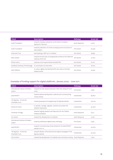| <b>Client</b>                     | <b>Description</b>                                                                        | Pathway               | Grant(s) |
|-----------------------------------|-------------------------------------------------------------------------------------------|-----------------------|----------|
| Audio Foundation                  | towards creating a subsection to the Audio Foundation<br>website for 'Altmusic'           | <b>Quick Response</b> | 4,000    |
| Audio Foundation                  | towards publication of a book surveying sound-art practice in<br>New Zealand              | Arts Grants           | 29,090   |
| Intercrate Trust                  | participating in ISEA 2011 in Istanbul                                                    | Arts Grants           | 28,835   |
| Sean Grattan                      | towards the third year of postgraduate studies at the California<br>Institute of the Arts | Arts Grants           | 12,000   |
| Miriam Harris                     | towards a short experimental animated film                                                | Arts Grants           | 21,100   |
| Auckland University of Technology | to commission six new works                                                               | Arts Grants           | 18,000   |
| Mark Williams                     | to curate, digitise and distribute film and video art by New<br><b>Zealand artists</b>    | Arts Grants           | 32,950   |

# Examples of funding support for digital platforms, January 2009 – June 2011

| <b>Client</b>                                                                                                                          | <b>Description</b>                                                           | <b>Pathway</b> | Grant (\$) |
|----------------------------------------------------------------------------------------------------------------------------------------|------------------------------------------------------------------------------|----------------|------------|
| International Institute of Modern<br>towards the web-based publication 'Best New Zealand Poems<br>2009'<br>Letters                     |                                                                              | Arts Grants    | 5,950      |
| towards website development, editorial and commissioning<br>eyeCONTACT<br>Investments<br>critical reviews                              |                                                                              |                | 69,800     |
| The Big Idea - Te Aria Nui<br>towards growing and strengthening The Big Idea website<br>Investments<br>Charitable Trust                |                                                                              | 50,000         |            |
| Words for Action                                                                                                                       | to operate, manage, upgrade, maintain and sustain the<br>website Theatreview | Investments    | 40,000     |
| towards ongoing research and data entry for the Theatre<br>University of Otago<br>Quick Response<br>Aotearoa database                  |                                                                              |                | 6,312      |
| Ina Johann                                                                                                                             | towards the development of a website                                         | Quick Response | 5,000      |
| International Institute of Modern<br>Letters                                                                                           | towards publishing a digital poetry anthology                                | Arts Grants    | 5,950      |
| eyeCONTACT                                                                                                                             | towards commissioning critical reviews for the EyeCONTACT<br>website 2010-12 | Investments    | 50,000     |
| The Big Idea - Te Aria Nui<br>towards delivery of the editorial and regional strategies of The<br>Charitable Trust<br>Big Idea website |                                                                              | Investments    | 30,000     |
| Vita Cochran                                                                                                                           | towards the development of a website and commission writing Quick Response   |                | 7,500      |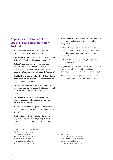# **Appendix 3 – Examples of the use of digital platforms in New Zealand**

- **NZ Symphony Orchestra's** June 2011 webcast of the NZSO performance of Mahler's *Sixth Symphony*
- **NBR NZ Opera's** posting of information on the opening of *Cavalleria Rusticana & Pagliacci* on YouTube34
- **Te Papa Tongarewa website** which provides information on exhibits, interactive education programmes, a collection search facility and the opportunity to purchase items from the Te Papa store<sup>35</sup>
- **The Big Idea** a website and weekly e-bulletin sharing news, views, events, jobs and opportunities related to New Zealand arts and artists<sup>36</sup>
- **NZ on Screen** photo booth where visitors can have their image inserted into classic New Zealand film and television scenes that can be emailed to friends and family<sup>37</sup>
- **NZ Contemporary**  a centralised gateway to information about leading-edge contemporary arts practice in New Zealand<sup>38</sup>
- **NZ Book Council website** providing information on New Zealand writers, authors, publishers and literary events<sup>39</sup>
- **The New Zealand Electronic Poetry Centre**  a project to set up an electronic gateway to poetry resources in Aotearoa/New Zealand and the Pacific region<sup>40</sup>

35 http://www.tepapa.govt.nz/pages/default.aspx

- 38 http://nzcontemporary.com
- 39 http://www.bookcouncil.org.nz
- 40 http://www.nzepc.auckland.ac.nz
- **SOUNZ website** allowing users to locate, purchase, or borrow recordings or scores by New Zealand composers<sup>41</sup>
- **DANZ** offering access to information on archiving, codes of practice, health and safety issues, dance education, sample contracts and community dance  $resources^{42}$
- **Virtual TART** promoting and displaying the art and artists of Taranaki<sup>43</sup>
- **Playmarket** whose website allows users to purchase New Zealand playscripts and register interest in obtaining a license to perform a New Zealand play<sup>44</sup>
- **Theatreview**  providing online reviews, news and forums about New Zealand professional theatre<sup>45</sup>

- 42 http://www.danz.org.nz/resources.php
- 43 http://virtual.tart.co.nz/default.htm
- 44 http://www.playmarket.org.nz
- 45 http://theatreview.org.nz/index.php

<sup>34</sup> http://www.youtube.com/user/NZOpera

<sup>36</sup> http://www.thebigidea.co.nz

<sup>37</sup> http://real.nzonscreen.com/about

<sup>41</sup> http://sounz.org.nz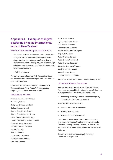# **Appendix 4 – Examples of digital platforms bringing international work to New Zealand**

#### New York Metropolitan Opera season 2011–12

*The show is shot with a dozen cameras, some of which move, and the changes in perspective provide new dimensions to a stage picture usually seen from a single vantage point … Seeing the production in a high definition transmission was a different, though equally compelling experience.* 

– Wall Street Journal

The 2011-12 season of the New York Metropolitan Opera will be shown at 28 cinemas throughout New Zealand. The season will consist of:

*La Traviata, Manon, Ernani, Gőtterdämmerung, The Enchanted Island, Faust, Rodenlinda, Satyagraha, Siegfried, Don Giovanni* and *Anna Bolena*

#### Participating cinemas

- Arthouse Cinema, New Plymouth Basement, Rotorua Bridgeway Cinema, Auckland Cathay Cinema, Kerikeri Cinema Gold, Havelock North Cinema Gold, Palmerston North Circus Cinemas, Martinborough Crooked Mile Talking Movies, Hokitika Dorothy Browns, Arrowtown Embassy Cinemas Wanganui Focal Point, Levin Hawera Cinema 2 Lido Cinemas, Hamilton
- Majestic Cinema, Taihape
- Matakana Cinemas

Movie World, Oamaru Lighthouse Cinema, Petone NBS Theatre, Westport Odeon Cinema, Gisborne Penthouse Cinemas, Wellington Regent, Te Awamutu Rialto Cinemas, Dunedin Rialtio Cinema Newmarket Rialto Cinemas, Tauranga ShoreLine Cinemas, Waikanae Starlight Cinemas, Taupo State Cinemas, Nelson Toptown Cinemas, Blenheim

*Source: www.nzmetopera.com – accessed 26 August 2011.*

#### UK National Theatre Live season

Between August and December 2011 the (UK) National Theatre Live season will be broadcasting one-off showings of four productions "live" in New Zealand cinemas.

• *The Cherry Orchard* (an encore season at Bridgeway Cinema in Auckland, 7 and 9 August)

And at 17 New Zealand cinemas:

- *1 Man, 2 Guvnors* 15 September
- *The Kitchen* 6 October
- *The Collaborators* 1 December

The 17 New Zealand cinemas are located in: Auckland (2 cinemas), Wellington (2), Christchurch (2), Dunedin, Hamilton, Tauranga, Nelson, Hokitika, Havelock North, Palmerston North, Te Awamutu, Waikanae, Matakana and Gisborne

*Source: www.nationaltheatre.org.uk/?lid=61175 – accessed 26 August 2011*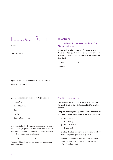# Feedback form

**Name:**

**Contact details:**

# **Questions**

Q.1: Our distinction between "media arts" and "digital platforms"

**Do you believe it is appropriate for Creative New Zealand to distinguish between the practice of media arts and the use of digital platforms in the way we've described?**

Yes No

Comment:

**If you are responding on behalf of an organisation**

**Name of Organisation:**

**I/we are most actively involved with:** (please circle)

Media Arts

Digital Platforms

Both

Neither

Other (please specify)

In addition to feedback provided below, there may also be an opportunity to present an oral submission to Creative New Zealand on 19 or 20 January 2012. Please indicate if you wish to present an oral submission.

 $\Box$  Yes  $\Box$  No



Please provide a phone number so we can arrange your oral submission.

# Q.2: Media arts activities

**The following are examples of media arts activities for which Creative New Zealand might offer funding support.** 

**Using the following scale, please indicate what sort of priority you would give to each of the listed activities:**

- 1. Not a priority
- 2. Low priority
- 3. Medium priority
- 4. High priority
- creating New Zealand work for exhibition within New Zealand at public spaces or art galleries

creation and public presentation of distinctive New Zealand media artworks that are of the highest international standard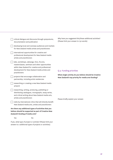|     | documentation and publication                                                          | critical dialogue and discourse through symposiums,                                                                                                        | wny nav<br>(Please       |
|-----|----------------------------------------------------------------------------------------|------------------------------------------------------------------------------------------------------------------------------------------------------------|--------------------------|
|     |                                                                                        | developing local and overseas audiences and markets<br>for New Zealand media artists and practitioners                                                     |                          |
|     | international opportunities for creative and<br>artists and practitioners              | professional development for New Zealand media                                                                                                             |                          |
|     | labs, workshops, wānanga, fono, forums,<br>practitioners                               | masterclasses, seminars and other opportunities<br>within New Zealand for creative and professional<br>development for New Zealand media artists and       | Q.3: Fu                  |
|     | projects that encourage collaboration and<br>partnership, including artist residencies |                                                                                                                                                            | What si<br><b>New Ze</b> |
|     | artwork                                                                                | researching or creating a new New Zealand media                                                                                                            |                          |
|     | artists and practitioners                                                              | researching, writing, producing, publishing or<br>distributing catalogues, monographs, essay series,<br>and critical writing about New Zealand media arts, | Please b                 |
|     |                                                                                        | visits by international critics that will directly benefit<br>New Zealand media arts, artists and practitioners                                            |                          |
|     | Zealand's funding of media arts?                                                       | Are there any additional types of activities that you<br>believe should be supported as part of Creative New                                               |                          |
| Yes |                                                                                        | No                                                                                                                                                         |                          |
|     |                                                                                        | If yes, what type of project or activity? (Please limit your<br>answer to 2 additional types of projects or activities)                                    |                          |

Why have you suggested this/these additional activities? limit your answer to 150 words)

# unding priorities

**What single activity do you believe should be Creative New Zealand's top priority for media arts funding?**

briefly explain your answer.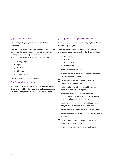# Q.4: Capability Building

# **How strongly do you agree or disagree with the statement:**

Over the next five years Creative New Zealand should focus on building the capability and strength of media artists and organisations through the Investment programmes and through targeted capability-building initiatives.

- 1. Strongly Agree
- 2. Agree
- 3. Neutral
- 4. Disagree
- 5. Strongly Disagree

(Please circle your preferred response)

# Q.5: Other relevant factors

**Are there any other factors you would like Creative New Zealand to consider when we are reviewing our support for media arts?** (Please limit your answer to 200 words)

# Q.6: Support for using digital platforms

**The following are examples of the way digital platforms are currently being used.**

**Using the following scale, please indicate what sort of priority you would give to each of the listed activities:**

- 1. Not a priority
- 2. Low priority
- 3. Medium priority
- 4. High priority

 $\overline{\phantom{x}}$  archive and document work

- build online communities and exchange information between identified people
- $\Box$  circulate email communciations to registered subscribers and supporters
- $\Box$  collect audience profile, demographic data and permission-based marketing data

create and curate online forums for artists, practitioners and/or the wider public to discuss or post views about artworks and issues

display and promote the work of individual artists, arts groups, arts companies and arts events

provide access to artform information and resources

 $\Box$  provide opportunities to the public to view and/or buy artworks

present works to New Zealand and international audiences and communities

ticket purchasing for performances and events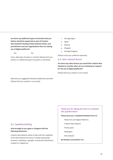**Are there any additional types of activities that you believe should be supported as part of Creative New Zealand's funding of New Zealand artists, arts practitioners and arts organisations that are making use of digital platforms?** 

Yes No

If yes, what type of project or activity? (Please limit your answer to 2 additional types of projects or activities)

- 1. Strongly Agree
- 2. Agree
- 3. Neutral
- 4. Disagree
- 5. Strongly Disagree

(Please circle your preferred response)

# Q.8: Other relevant factors

**Are there any other factors you would like Creative New Zealand to consider when we are reviewing our support for the use of digital platforms?** 

(Please limit your answer to 200 words)

Why have you suggested this/these additional activities? (Please limit your answer to 150 words)

# Q.7: Capability Building

# **How strongly do you agree or disagree with the following statement:**

Creative New Zealand needs to help build the capability of the New Zealand arts sector to adopt appropriate business, marketing, copyright, archival and distribution models for a digital era.

# Thank you for taking the time to complete this questionnaire.

## **Please post your completed feedback form to:**

Media Arts and Digital Platforms

- Creative New Zealand
- PO Box 3806
- Wellington
- New Zealand

#### **By Monday 19 December 2011.**